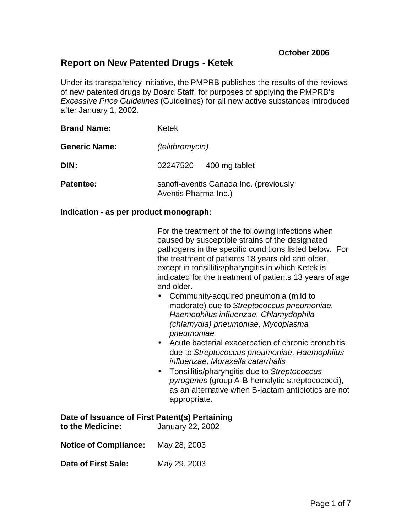# **Report on New Patented Drugs - Ketek**

Under its transparency initiative, the PMPRB publishes the results of the reviews of new patented drugs by Board Staff, for purposes of applying the PMPRB's *Excessive Price Guidelines* (Guidelines) for all new active substances introduced after January 1, 2002.

| <b>Brand Name:</b>   | Ketek                                                          |  |  |
|----------------------|----------------------------------------------------------------|--|--|
| <b>Generic Name:</b> | (telithromycin)                                                |  |  |
| DIN:                 | 02247520 400 mg tablet                                         |  |  |
| <b>Patentee:</b>     | sanofi-aventis Canada Inc. (previously<br>Aventis Pharma Inc.) |  |  |

#### **Indication - as per product monograph:**

| For the treatment of the following infections when      |  |
|---------------------------------------------------------|--|
| caused by susceptible strains of the designated         |  |
| pathogens in the specific conditions listed below. For  |  |
| the treatment of patients 18 years old and older,       |  |
| except in tonsillitis/pharyngitis in which Ketek is     |  |
| indicated for the treatment of patients 13 years of age |  |
| and older.                                              |  |

- Community-acquired pneumonia (mild to moderate) due to *Streptococcus pneumoniae, Haemophilus influenzae, Chlamydophila (chlamydia) pneumoniae, Mycoplasma pneumoniae*
- Acute bacterial exacerbation of chronic bronchitis due to *Streptococcus pneumoniae, Haemophilus influenzae, Moraxella catarrhalis*
- Tonsillitis/pharyngitis due to *Streptococcus pyrogenes* (group A-B hemolytic streptocococci), as an alternative when B-lactam antibiotics are not appropriate.

|  |  |  |  | Date of Issuance of First Patent(s) Pertaining |
|--|--|--|--|------------------------------------------------|
|--|--|--|--|------------------------------------------------|

| to the Medicine: | January 22, 2002 |
|------------------|------------------|
|                  |                  |

**Notice of Compliance:** May 28, 2003

**Date of First Sale:** May 29, 2003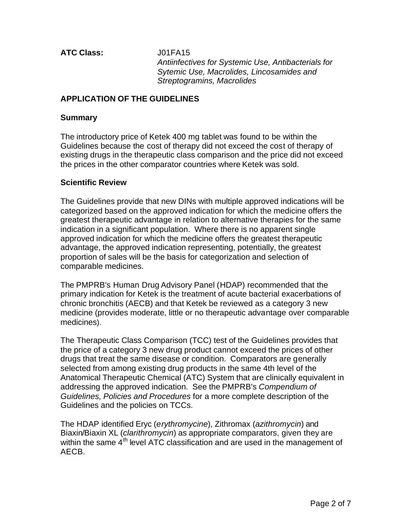**ATC Class:** J01FA15

*Antiinfectives for Systemic Use, Antibacterials for Sytemic Use, Macrolides, Lincosamides and Streptogramins, Macrolides*

## **APPLICATION OF THE GUIDELINES**

## **Summary**

The introductory price of Ketek 400 mg tablet was found to be within the Guidelines because the cost of therapy did not exceed the cost of therapy of existing drugs in the therapeutic class comparison and the price did not exceed the prices in the other comparator countries where Ketek was sold.

### **Scientific Review**

The Guidelines provide that new DINs with multiple approved indications will be categorized based on the approved indication for which the medicine offers the greatest therapeutic advantage in relation to alternative therapies for the same indication in a significant population. Where there is no apparent single approved indication for which the medicine offers the greatest therapeutic advantage, the approved indication representing, potentially, the greatest proportion of sales will be the basis for categorization and selection of comparable medicines.

The PMPRB's Human Drug Advisory Panel (HDAP) recommended that the primary indication for Ketek is the treatment of acute bacterial exacerbations of chronic bronchitis (AECB) and that Ketek be reviewed as a category 3 new medicine (provides moderate, little or no therapeutic advantage over comparable medicines).

The Therapeutic Class Comparison (TCC) test of the Guidelines provides that the price of a category 3 new drug product cannot exceed the prices of other drugs that treat the same disease or condition. Comparators are generally selected from among existing drug products in the same 4th level of the Anatomical Therapeutic Chemical (ATC) System that are clinically equivalent in addressing the approved indication. See the PMPRB's *Compendium of Guidelines, Policies and Procedures* for a more complete description of the Guidelines and the policies on TCCs.

The HDAP identified Eryc (*erythromycine*), Zithromax (*azithromycin*) and Biaxin/Biaxin XL (*clarithromycin*) as appropriate comparators, given they are within the same  $4<sup>th</sup>$  level ATC classification and are used in the management of AECB.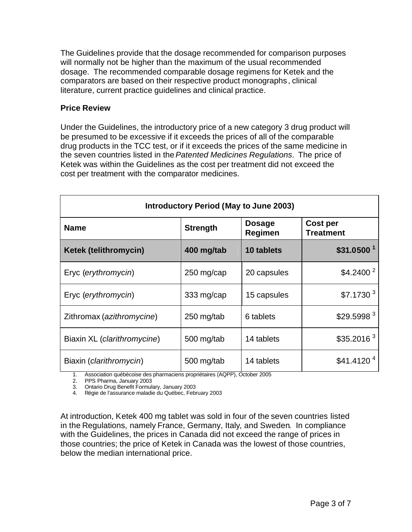The Guidelines provide that the dosage recommended for comparison purposes will normally not be higher than the maximum of the usual recommended dosage. The recommended comparable dosage regimens for Ketek and the comparators are based on their respective product monographs , clinical literature, current practice guidelines and clinical practice.

## **Price Review**

Under the Guidelines, the introductory price of a new category 3 drug product will be presumed to be excessive if it exceeds the prices of all of the comparable drug products in the TCC test, or if it exceeds the prices of the same medicine in the seven countries listed in the *Patented Medicines Regulations*. The price of Ketek was within the Guidelines as the cost per treatment did not exceed the cost per treatment with the comparator medicines.

| <b>Introductory Period (May to June 2003)</b> |                 |                          |                              |  |  |
|-----------------------------------------------|-----------------|--------------------------|------------------------------|--|--|
| <b>Name</b>                                   | <b>Strength</b> | <b>Dosage</b><br>Regimen | Cost per<br><b>Treatment</b> |  |  |
| <b>Ketek (telithromycin)</b>                  | 400 mg/tab      | 10 tablets               | \$31.0500 <sup>1</sup>       |  |  |
| Eryc (erythromycin)                           | 250 mg/cap      | 20 capsules              | \$4.2400 <sup>2</sup>        |  |  |
| Eryc (erythromycin)                           | 333 mg/cap      | 15 capsules              | \$7.1730 <sup>3</sup>        |  |  |
| Zithromax (azithromycine)                     | 250 mg/tab      | 6 tablets                | \$29.5998 <sup>3</sup>       |  |  |
| Biaxin XL (clarithromycine)                   | 500 mg/tab      | 14 tablets               | \$35.2016 <sup>3</sup>       |  |  |
| Biaxin ( <i>clarithromycin</i> )              | 500 mg/tab      | 14 tablets               | \$41.4120 <sup>4</sup>       |  |  |

1. Association québécoise des pharmaciens propriétaires (AQPP), October 2005

2. PPS Pharma, January 2003

3. Ontario Drug Benefit Formulary, January 2003

4. Régie de l'assurance maladie du Québec, February 2003

At introduction, Ketek 400 mg tablet was sold in four of the seven countries listed in the Regulations, namely France, Germany, Italy, and Sweden. In compliance with the Guidelines, the prices in Canada did not exceed the range of prices in those countries; the price of Ketek in Canada was the lowest of those countries, below the median international price.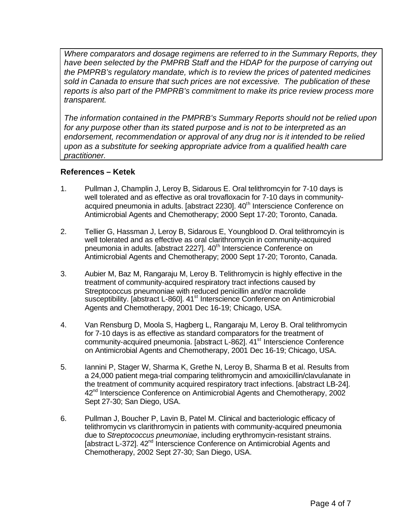*Where comparators and dosage regimens are referred to in the Summary Reports, they have been selected by the PMPRB Staff and the HDAP for the purpose of carrying out the PMPRB's regulatory mandate, which is to review the prices of patented medicines sold in Canada to ensure that such prices are not excessive. The publication of these reports is also part of the PMPRB's commitment to make its price review process more transparent.*

*The information contained in the PMPRB's Summary Reports should not be relied upon for any purpose other than its stated purpose and is not to be interpreted as an endorsement, recommendation or approval of any drug nor is it intended to be relied upon as a substitute for seeking appropriate advice from a qualified health care practitioner.*

# **References – Ketek**

- 1. Pullman J, Champlin J, Leroy B, Sidarous E. Oral telithromcyin for 7-10 days is well tolerated and as effective as oral trovafloxacin for 7-10 days in communityacquired pneumonia in adults. [abstract 2230]. 40<sup>th</sup> Interscience Conference on Antimicrobial Agents and Chemotherapy; 2000 Sept 17-20; Toronto, Canada.
- 2. Tellier G, Hassman J, Leroy B, Sidarous E, Youngblood D. Oral telithromcyin is well tolerated and as effective as oral clarithromycin in community-acquired pneumonia in adults. [abstract 2227]. 40<sup>th</sup> Interscience Conference on Antimicrobial Agents and Chemotherapy; 2000 Sept 17-20; Toronto, Canada.
- 3. Aubier M, Baz M, Rangaraju M, Leroy B. Telithromycin is highly effective in the treatment of community-acquired respiratory tract infections caused by Streptococcus pneumoniae with reduced penicillin and/or macrolide susceptibility. [abstract L-860]. 41<sup>st</sup> Interscience Conference on Antimicrobial Agents and Chemotherapy, 2001 Dec 16-19; Chicago, USA.
- 4. Van Rensburg D, Moola S, Hagberg L, Rangaraju M, Leroy B. Oral telithromycin for 7-10 days is as effective as standard comparators for the treatment of community-acquired pneumonia. [abstract L-862]. 41<sup>st</sup> Interscience Conference on Antimicrobial Agents and Chemotherapy, 2001 Dec 16-19; Chicago, USA.
- 5. Iannini P, Stager W, Sharma K, Grethe N, Leroy B, Sharma B et al. Results from a 24,000 patient mega-trial comparing telithromycin and amoxicillin/clavulanate in the treatment of community acquired respiratory tract infections. [abstract LB-24]. 42<sup>nd</sup> Interscience Conference on Antimicrobial Agents and Chemotherapy, 2002 Sept 27-30; San Diego, USA.
- 6. Pullman J, Boucher P, Lavin B, Patel M. Clinical and bacteriologic efficacy of telithromycin vs clarithromycin in patients with community-acquired pneumonia due to *Streptococcus pneumoniae*, including erythromycin-resistant strains. [abstract L-372]. 42<sup>nd</sup> Interscience Conference on Antimicrobial Agents and Chemotherapy, 2002 Sept 27-30; San Diego, USA.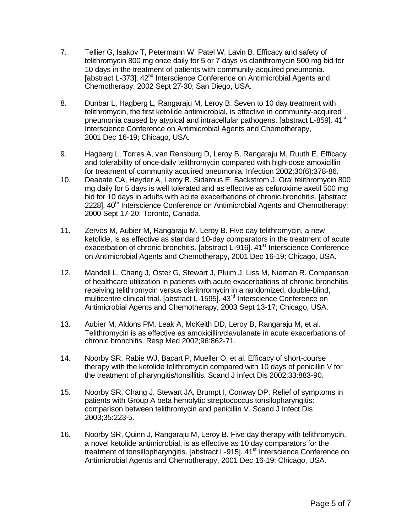- 7. Tellier G, Isakov T, Petermann W, Patel W, Lavin B. Efficacy and safety of telithromycin 800 mg once daily for 5 or 7 days vs clarithromycin 500 mg bid for 10 days in the treatment of patients with community-acquired pneumonia. [abstract L-373]. 42<sup>nd</sup> Interscience Conference on Antimicrobial Agents and Chemotherapy, 2002 Sept 27-30; San Diego, USA.
- 8. Dunbar L, Hagberg L, Rangaraju M, Leroy B. Seven to 10 day treatment with telithromycin, the first ketolide antimicrobial, is effective in community-acquired pneumonia caused by atypical and intracellular pathogens. [abstract L-859]. 41<sup>st</sup> Interscience Conference on Antimicrobial Agents and Chemotherapy, 2001 Dec 16-19; Chicago, USA.
- 9. Hagberg L, Torres A, van Rensburg D, Leroy B, Rangaraju M, Ruuth E. Efficacy and tolerability of once-daily telithromycin compared with high-dose amoxicillin for treatment of community acquired pneumonia. Infection 2002;30(6):378-86.
- 10. Deabate CA, Heyder A, Leroy B, Sidarous E, Backstrom J. Oral telithromycin 800 mg daily for 5 days is well tolerated and as effective as cefuroxime axetil 500 mg bid for 10 days in adults with acute exacerbations of chronic bronchitis. [abstract 22281. 40<sup>th</sup> Interscience Conference on Antimicrobial Agents and Chemotherapy; 2000 Sept 17-20; Toronto, Canada.
- 11. Zervos M, Aubier M, Rangaraju M, Leroy B. Five day telithromycin, a new ketolide, is as effective as standard 10-day comparators in the treatment of acute exacerbation of chronic bronchitis. [abstract L-916]. 41<sup>st</sup> Interscience Conference on Antimicrobial Agents and Chemotherapy, 2001 Dec 16-19; Chicago, USA.
- 12. Mandell L, Chang J, Oster G, Stewart J, Pluim J, Liss M, Nieman R. Comparison of healthcare utilization in patients with acute exacerbations of chronic bronchitis receiving telithromycin versus clarithromycin in a randomized, double-blind, multicentre clinical trial. [abstract L-1595]. 43<sup>rd</sup> Interscience Conference on Antimicrobial Agents and Chemotherapy, 2003 Sept 13-17; Chicago, USA.
- 13. Aubier M, Aldons PM, Leak A, McKeith DD, Leroy B, Rangaraju M, et al. Telithromycin is as effective as amoxicillin/clavulanate in acute exacerbations of chronic bronchitis. Resp Med 2002;96:862-71.
- 14. Noorby SR, Rabie WJ, Bacart P, Mueller O, et al. Efficacy of short-course therapy with the ketolide telithromycin compared with 10 days of penicillin V for the treatment of pharyngitis/tonsillitis. Scand J Infect Dis 2002;33:883-90.
- 15. Noorby SR, Chang J, Stewart JA, Brumpt I, Conway DP. Relief of symptoms in patients with Group A beta hemolytic streptococcus tonsilopharyngitis: comparison between telithromycin and penicillin V. Scand J Infect Dis 2003;35:223-5.
- 16. Noorby SR, Quinn J, Rangaraju M, Leroy B. Five day therapy with telithromycin, a novel ketolide antimicrobial, is as effective as 10 day comparators for the treatment of tonsillopharyngitis. [abstract L-915]. 41<sup>st</sup> Interscience Conference on Antimicrobial Agents and Chemotherapy, 2001 Dec 16-19; Chicago, USA.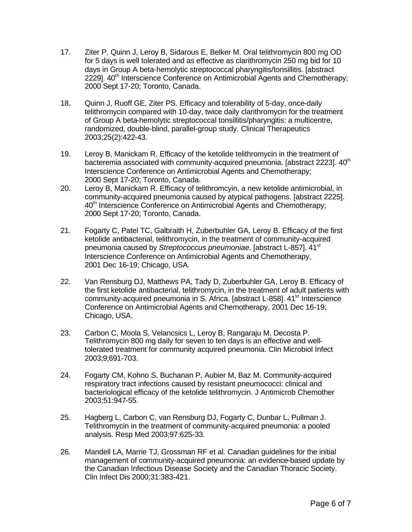- 17. Ziter P, Quinn J, Leroy B, Sidarous E, Belker M. Oral telithromycin 800 mg OD for 5 days is well tolerated and as effective as clarithromycin 250 mg bid for 10 days in Group A beta-hemolytic streptococcal pharyngitis/tonsillitis. [abstract 2229]. 40<sup>th</sup> Interscience Conference on Antimicrobial Agents and Chemotherapy; 2000 Sept 17-20; Toronto, Canada.
- 18. Quinn J, Ruoff GE, Ziter PS. Efficacy and tolerability of 5-day, once-daily telithromycin compared with 10-day, twice daily clarithromycin for the treatment of Group A beta-hemolytic streptococcal tonsillitis/pharyngitis: a multicentre, randomized, double-blind, parallel-group study. Clinical Therapeutics 2003;25(2):422-43.
- 19. Leroy B, Manickam R. Efficacy of the ketolide telithromycin in the treatment of bacteremia associated with community-acquired pneumonia. [abstract 2223].  $40<sup>th</sup>$ Interscience Conference on Antimicrobial Agents and Chemotherapy; 2000 Sept 17-20; Toronto, Canada.
- 20. Leroy B, Manickam R. Efficacy of telithromcyin, a new ketolide antimicrobial, in community-acquired pneumonia caused by atypical pathogens. [abstract 2225]. 40<sup>th</sup> Interscience Conference on Antimicrobial Agents and Chemotherapy; 2000 Sept 17-20; Toronto, Canada.
- 21. Fogarty C, Patel TC, Galbraith H, Zuberbuhler GA, Leroy B. Efficacy of the first ketolide antibacterial, telithromycin, in the treatment of community-acquired pneumonia caused by *Streptococcus pneumoniae*. [abstract L-857]. 41st Interscience Conference on Antimicrobial Agents and Chemotherapy, 2001 Dec 16-19; Chicago, USA.
- 22. Van Rensburg DJ, Matthews PA, Tady D, Zuberbuhler GA, Leroy B. Efficacy of the first ketolide antibacterial, telithromycin, in the treatment of adult patients with community-acquired pneumonia in S. Africa. [abstract L-858]. 41<sup>st</sup> Interscience Conference on Antimicrobial Agents and Chemotherapy, 2001 Dec 16-19; Chicago, USA.
- 23. Carbon C, Moola S, Velancsics L, Leroy B, Rangaraju M, Decosta P. Telithromycin 800 mg daily for seven to ten days is an effective and welltolerated treatment for community acquired pneumonia. Clin Microbiol Infect 2003;9;691-703.
- 24. Fogarty CM, Kohno S, Buchanan P, Aubier M, Baz M. Community-acquired respiratory tract infections caused by resistant pneumococci: clinical and bacteriological efficacy of the ketolide telithromycin. J Antimicrob Chemother 2003;51:947-55.
- 25. Hagberg L, Carbon C, van Rensburg DJ, Fogarty C, Dunbar L, Pullman J. Telithromycin in the treatment of community-acquired pneumonia: a pooled analysis. Resp Med 2003;97:625-33.
- 26. Mandell LA, Marrie TJ, Grossman RF et al. Canadian guidelines for the initial management of community-acquired pneumonia: an evidence-based update by the Canadian Infectious Disease Society and the Canadian Thoracic Society. Clin Infect Dis 2000;31:383-421.